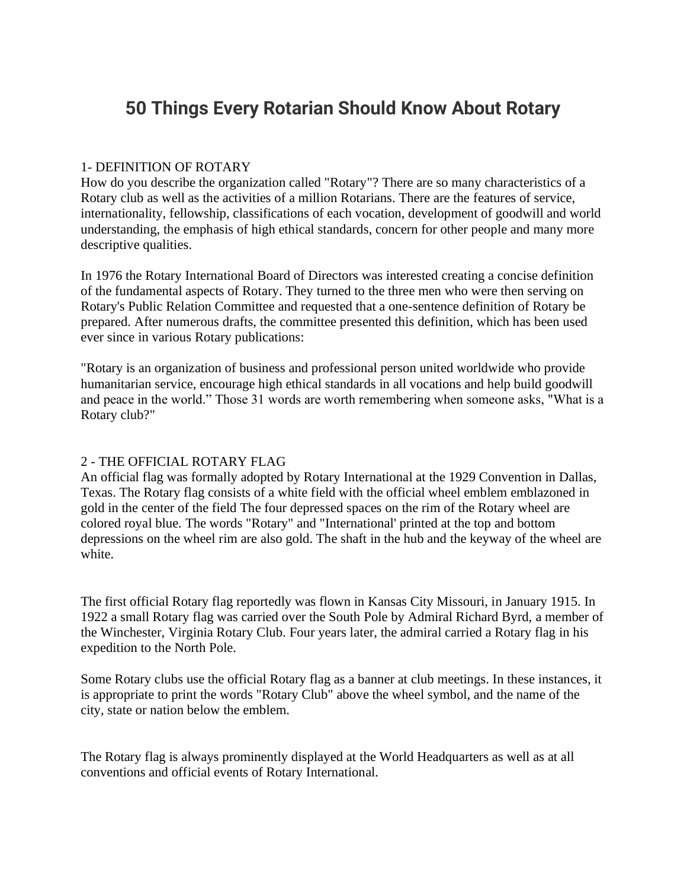# **50 Things Every Rotarian Should Know About Rotary**

## 1- DEFINITION OF ROTARY

How do you describe the organization called "Rotary"? There are so many characteristics of a Rotary club as well as the activities of a million Rotarians. There are the features of service, internationality, fellowship, classifications of each vocation, development of goodwill and world understanding, the emphasis of high ethical standards, concern for other people and many more descriptive qualities.

In 1976 the Rotary International Board of Directors was interested creating a concise definition of the fundamental aspects of Rotary. They turned to the three men who were then serving on Rotary's Public Relation Committee and requested that a one-sentence definition of Rotary be prepared. After numerous drafts, the committee presented this definition, which has been used ever since in various Rotary publications:

"Rotary is an organization of business and professional person united worldwide who provide humanitarian service, encourage high ethical standards in all vocations and help build goodwill and peace in the world." Those 31 words are worth remembering when someone asks, "What is a Rotary club?"

# 2 - THE OFFICIAL ROTARY FLAG

An official flag was formally adopted by Rotary International at the 1929 Convention in Dallas, Texas. The Rotary flag consists of a white field with the official wheel emblem emblazoned in gold in the center of the field The four depressed spaces on the rim of the Rotary wheel are colored royal blue. The words "Rotary" and "International' printed at the top and bottom depressions on the wheel rim are also gold. The shaft in the hub and the keyway of the wheel are white.

The first official Rotary flag reportedly was flown in Kansas City Missouri, in January 1915. In 1922 a small Rotary flag was carried over the South Pole by Admiral Richard Byrd, a member of the Winchester, Virginia Rotary Club. Four years later, the admiral carried a Rotary flag in his expedition to the North Pole.

Some Rotary clubs use the official Rotary flag as a banner at club meetings. In these instances, it is appropriate to print the words "Rotary Club" above the wheel symbol, and the name of the city, state or nation below the emblem.

The Rotary flag is always prominently displayed at the World Headquarters as well as at all conventions and official events of Rotary International.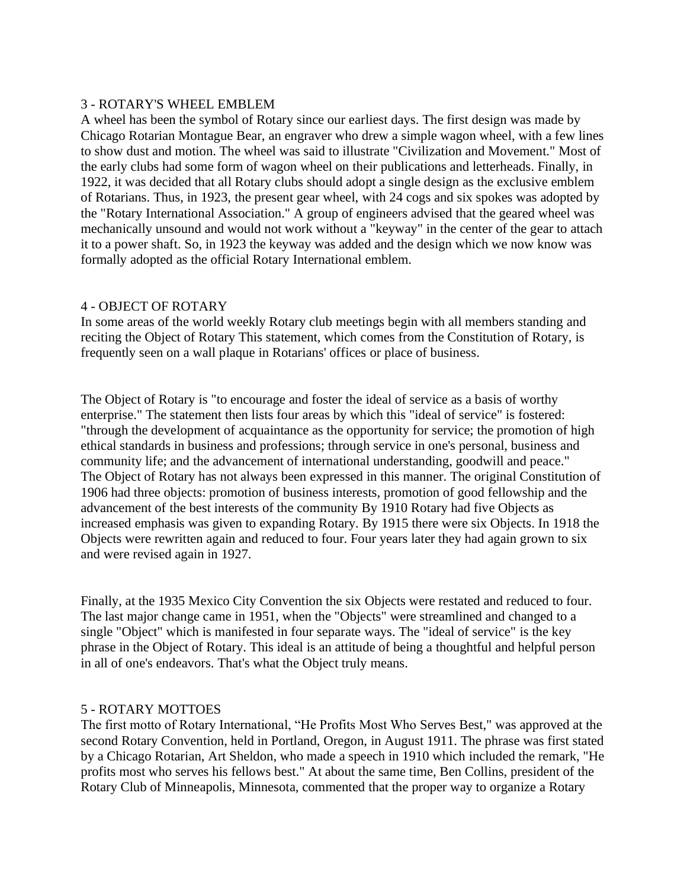## 3 - ROTARY'S WHEEL EMBLEM

A wheel has been the symbol of Rotary since our earliest days. The first design was made by Chicago Rotarian Montague Bear, an engraver who drew a simple wagon wheel, with a few lines to show dust and motion. The wheel was said to illustrate "Civilization and Movement." Most of the early clubs had some form of wagon wheel on their publications and letterheads. Finally, in 1922, it was decided that all Rotary clubs should adopt a single design as the exclusive emblem of Rotarians. Thus, in 1923, the present gear wheel, with 24 cogs and six spokes was adopted by the "Rotary International Association." A group of engineers advised that the geared wheel was mechanically unsound and would not work without a "keyway" in the center of the gear to attach it to a power shaft. So, in 1923 the keyway was added and the design which we now know was formally adopted as the official Rotary International emblem.

## 4 - OBJECT OF ROTARY

In some areas of the world weekly Rotary club meetings begin with all members standing and reciting the Object of Rotary This statement, which comes from the Constitution of Rotary, is frequently seen on a wall plaque in Rotarians' offices or place of business.

The Object of Rotary is "to encourage and foster the ideal of service as a basis of worthy enterprise." The statement then lists four areas by which this "ideal of service" is fostered: "through the development of acquaintance as the opportunity for service; the promotion of high ethical standards in business and professions; through service in one's personal, business and community life; and the advancement of international understanding, goodwill and peace." The Object of Rotary has not always been expressed in this manner. The original Constitution of 1906 had three objects: promotion of business interests, promotion of good fellowship and the advancement of the best interests of the community By 1910 Rotary had five Objects as increased emphasis was given to expanding Rotary. By 1915 there were six Objects. In 1918 the Objects were rewritten again and reduced to four. Four years later they had again grown to six and were revised again in 1927.

Finally, at the 1935 Mexico City Convention the six Objects were restated and reduced to four. The last major change came in 1951, when the "Objects" were streamlined and changed to a single "Object" which is manifested in four separate ways. The "ideal of service" is the key phrase in the Object of Rotary. This ideal is an attitude of being a thoughtful and helpful person in all of one's endeavors. That's what the Object truly means.

## 5 - ROTARY MOTTOES

The first motto of Rotary International, "He Profits Most Who Serves Best," was approved at the second Rotary Convention, held in Portland, Oregon, in August 1911. The phrase was first stated by a Chicago Rotarian, Art Sheldon, who made a speech in 1910 which included the remark, "He profits most who serves his fellows best." At about the same time, Ben Collins, president of the Rotary Club of Minneapolis, Minnesota, commented that the proper way to organize a Rotary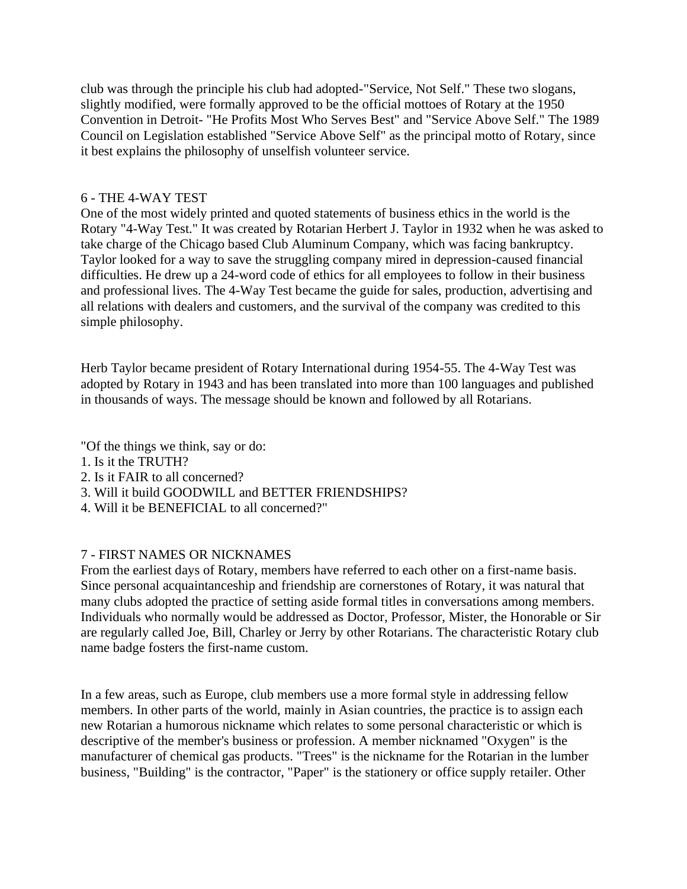club was through the principle his club had adopted-"Service, Not Self." These two slogans, slightly modified, were formally approved to be the official mottoes of Rotary at the 1950 Convention in Detroit- "He Profits Most Who Serves Best" and "Service Above Self." The 1989 Council on Legislation established "Service Above Self" as the principal motto of Rotary, since it best explains the philosophy of unselfish volunteer service.

## 6 - THE 4-WAY TEST

One of the most widely printed and quoted statements of business ethics in the world is the Rotary "4-Way Test." It was created by Rotarian Herbert J. Taylor in 1932 when he was asked to take charge of the Chicago based Club Aluminum Company, which was facing bankruptcy. Taylor looked for a way to save the struggling company mired in depression-caused financial difficulties. He drew up a 24-word code of ethics for all employees to follow in their business and professional lives. The 4-Way Test became the guide for sales, production, advertising and all relations with dealers and customers, and the survival of the company was credited to this simple philosophy.

Herb Taylor became president of Rotary International during 1954-55. The 4-Way Test was adopted by Rotary in 1943 and has been translated into more than 100 languages and published in thousands of ways. The message should be known and followed by all Rotarians.

"Of the things we think, say or do:

- 1. Is it the TRUTH?
- 2. Is it FAIR to all concerned?
- 3. Will it build GOODWILL and BETTER FRIENDSHIPS?
- 4. Will it be BENEFICIAL to all concerned?"

# 7 - FIRST NAMES OR NICKNAMES

From the earliest days of Rotary, members have referred to each other on a first-name basis. Since personal acquaintanceship and friendship are cornerstones of Rotary, it was natural that many clubs adopted the practice of setting aside formal titles in conversations among members. Individuals who normally would be addressed as Doctor, Professor, Mister, the Honorable or Sir are regularly called Joe, Bill, Charley or Jerry by other Rotarians. The characteristic Rotary club name badge fosters the first-name custom.

In a few areas, such as Europe, club members use a more formal style in addressing fellow members. In other parts of the world, mainly in Asian countries, the practice is to assign each new Rotarian a humorous nickname which relates to some personal characteristic or which is descriptive of the member's business or profession. A member nicknamed "Oxygen" is the manufacturer of chemical gas products. "Trees" is the nickname for the Rotarian in the lumber business, "Building" is the contractor, "Paper" is the stationery or office supply retailer. Other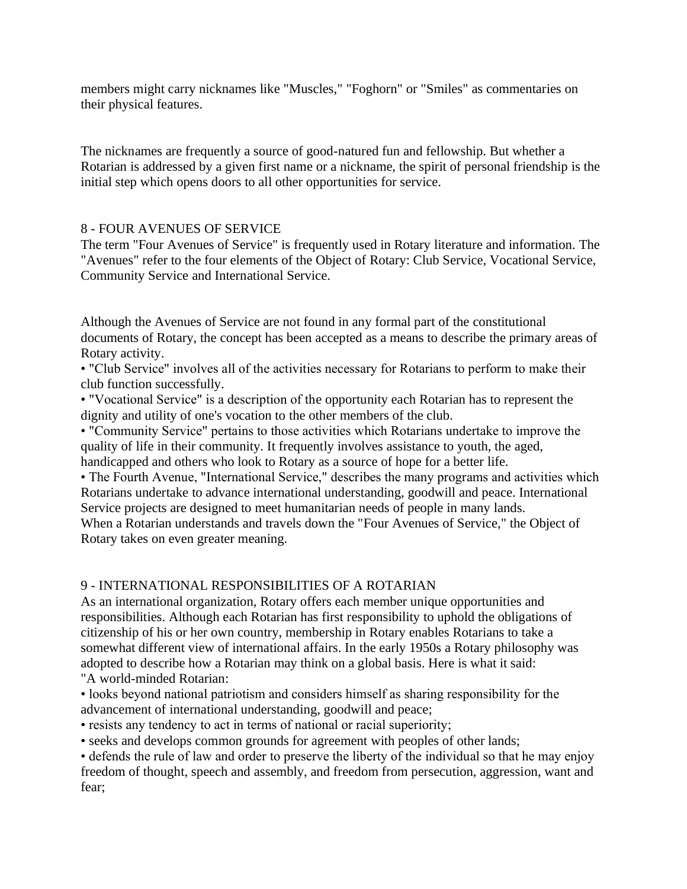members might carry nicknames like "Muscles," "Foghorn" or "Smiles" as commentaries on their physical features.

The nicknames are frequently a source of good-natured fun and fellowship. But whether a Rotarian is addressed by a given first name or a nickname, the spirit of personal friendship is the initial step which opens doors to all other opportunities for service.

## 8 - FOUR AVENUES OF SERVICE

The term "Four Avenues of Service" is frequently used in Rotary literature and information. The "Avenues" refer to the four elements of the Object of Rotary: Club Service, Vocational Service, Community Service and International Service.

Although the Avenues of Service are not found in any formal part of the constitutional documents of Rotary, the concept has been accepted as a means to describe the primary areas of Rotary activity.

• "Club Service" involves all of the activities necessary for Rotarians to perform to make their club function successfully.

• "Vocational Service" is a description of the opportunity each Rotarian has to represent the dignity and utility of one's vocation to the other members of the club.

• "Community Service" pertains to those activities which Rotarians undertake to improve the quality of life in their community. It frequently involves assistance to youth, the aged, handicapped and others who look to Rotary as a source of hope for a better life.

• The Fourth Avenue, "International Service," describes the many programs and activities which Rotarians undertake to advance international understanding, goodwill and peace. International Service projects are designed to meet humanitarian needs of people in many lands.

When a Rotarian understands and travels down the "Four Avenues of Service," the Object of Rotary takes on even greater meaning.

# 9 - INTERNATIONAL RESPONSIBILITIES OF A ROTARIAN

As an international organization, Rotary offers each member unique opportunities and responsibilities. Although each Rotarian has first responsibility to uphold the obligations of citizenship of his or her own country, membership in Rotary enables Rotarians to take a somewhat different view of international affairs. In the early 1950s a Rotary philosophy was adopted to describe how a Rotarian may think on a global basis. Here is what it said: "A world-minded Rotarian:

• looks beyond national patriotism and considers himself as sharing responsibility for the advancement of international understanding, goodwill and peace;

• resists any tendency to act in terms of national or racial superiority;

• seeks and develops common grounds for agreement with peoples of other lands;

• defends the rule of law and order to preserve the liberty of the individual so that he may enjoy freedom of thought, speech and assembly, and freedom from persecution, aggression, want and fear;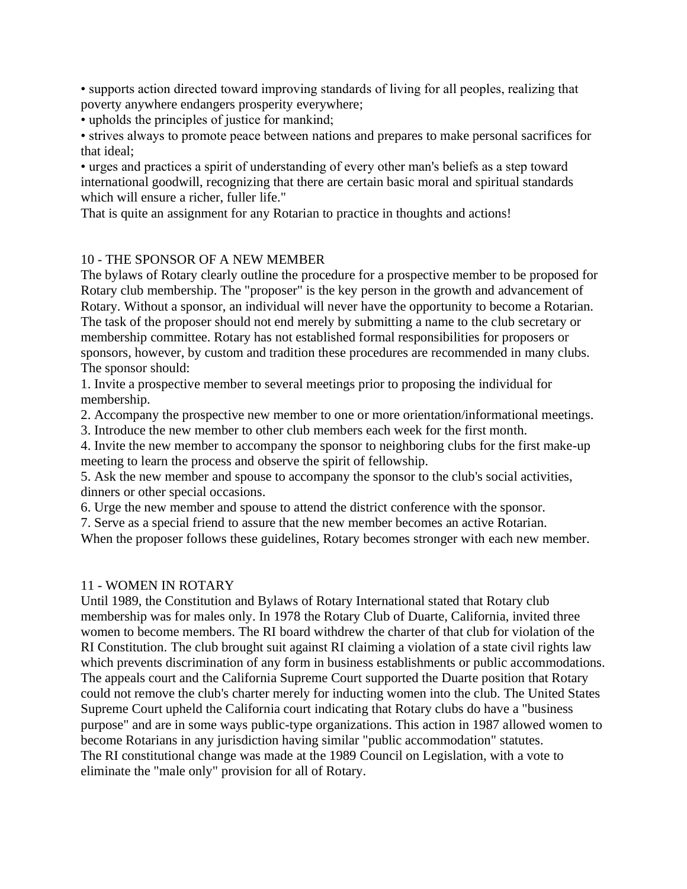• supports action directed toward improving standards of living for all peoples, realizing that poverty anywhere endangers prosperity everywhere;

• upholds the principles of justice for mankind;

• strives always to promote peace between nations and prepares to make personal sacrifices for that ideal;

• urges and practices a spirit of understanding of every other man's beliefs as a step toward international goodwill, recognizing that there are certain basic moral and spiritual standards which will ensure a richer, fuller life."

That is quite an assignment for any Rotarian to practice in thoughts and actions!

## 10 - THE SPONSOR OF A NEW MEMBER

The bylaws of Rotary clearly outline the procedure for a prospective member to be proposed for Rotary club membership. The "proposer" is the key person in the growth and advancement of Rotary. Without a sponsor, an individual will never have the opportunity to become a Rotarian. The task of the proposer should not end merely by submitting a name to the club secretary or membership committee. Rotary has not established formal responsibilities for proposers or sponsors, however, by custom and tradition these procedures are recommended in many clubs. The sponsor should:

1. Invite a prospective member to several meetings prior to proposing the individual for membership.

2. Accompany the prospective new member to one or more orientation/informational meetings.

3. Introduce the new member to other club members each week for the first month.

4. Invite the new member to accompany the sponsor to neighboring clubs for the first make-up meeting to learn the process and observe the spirit of fellowship.

5. Ask the new member and spouse to accompany the sponsor to the club's social activities, dinners or other special occasions.

6. Urge the new member and spouse to attend the district conference with the sponsor.

7. Serve as a special friend to assure that the new member becomes an active Rotarian.

When the proposer follows these guidelines, Rotary becomes stronger with each new member.

#### 11 - WOMEN IN ROTARY

Until 1989, the Constitution and Bylaws of Rotary International stated that Rotary club membership was for males only. In 1978 the Rotary Club of Duarte, California, invited three women to become members. The RI board withdrew the charter of that club for violation of the RI Constitution. The club brought suit against RI claiming a violation of a state civil rights law which prevents discrimination of any form in business establishments or public accommodations. The appeals court and the California Supreme Court supported the Duarte position that Rotary could not remove the club's charter merely for inducting women into the club. The United States Supreme Court upheld the California court indicating that Rotary clubs do have a "business purpose" and are in some ways public-type organizations. This action in 1987 allowed women to become Rotarians in any jurisdiction having similar "public accommodation" statutes. The RI constitutional change was made at the 1989 Council on Legislation, with a vote to eliminate the "male only" provision for all of Rotary.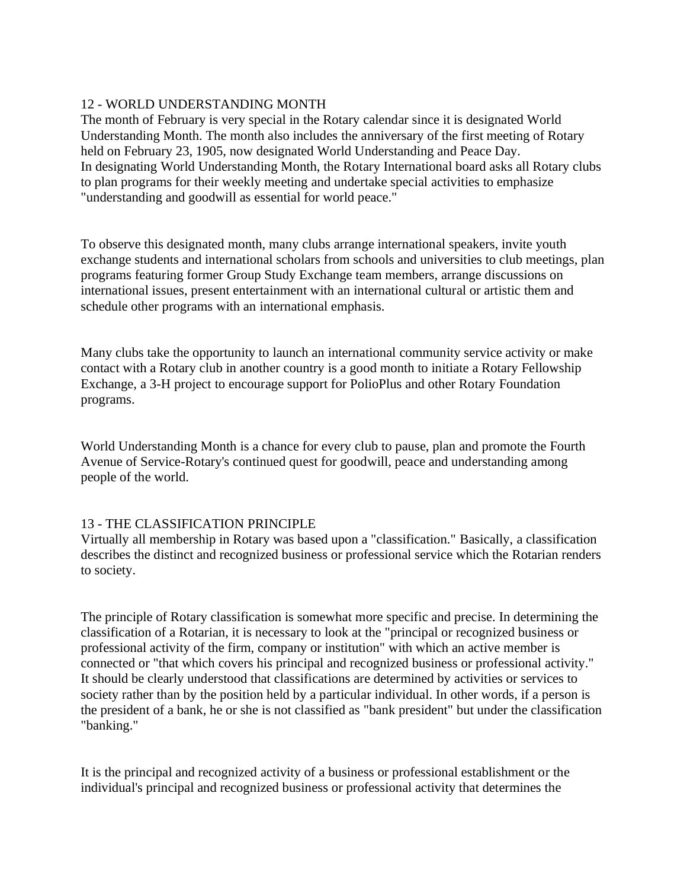# 12 - WORLD UNDERSTANDING MONTH

The month of February is very special in the Rotary calendar since it is designated World Understanding Month. The month also includes the anniversary of the first meeting of Rotary held on February 23, 1905, now designated World Understanding and Peace Day. In designating World Understanding Month, the Rotary International board asks all Rotary clubs to plan programs for their weekly meeting and undertake special activities to emphasize "understanding and goodwill as essential for world peace."

To observe this designated month, many clubs arrange international speakers, invite youth exchange students and international scholars from schools and universities to club meetings, plan programs featuring former Group Study Exchange team members, arrange discussions on international issues, present entertainment with an international cultural or artistic them and schedule other programs with an international emphasis.

Many clubs take the opportunity to launch an international community service activity or make contact with a Rotary club in another country is a good month to initiate a Rotary Fellowship Exchange, a 3-H project to encourage support for PolioPlus and other Rotary Foundation programs.

World Understanding Month is a chance for every club to pause, plan and promote the Fourth Avenue of Service-Rotary's continued quest for goodwill, peace and understanding among people of the world.

# 13 - THE CLASSIFICATION PRINCIPLE

Virtually all membership in Rotary was based upon a "classification." Basically, a classification describes the distinct and recognized business or professional service which the Rotarian renders to society.

The principle of Rotary classification is somewhat more specific and precise. In determining the classification of a Rotarian, it is necessary to look at the "principal or recognized business or professional activity of the firm, company or institution" with which an active member is connected or "that which covers his principal and recognized business or professional activity." It should be clearly understood that classifications are determined by activities or services to society rather than by the position held by a particular individual. In other words, if a person is the president of a bank, he or she is not classified as "bank president" but under the classification "banking."

It is the principal and recognized activity of a business or professional establishment or the individual's principal and recognized business or professional activity that determines the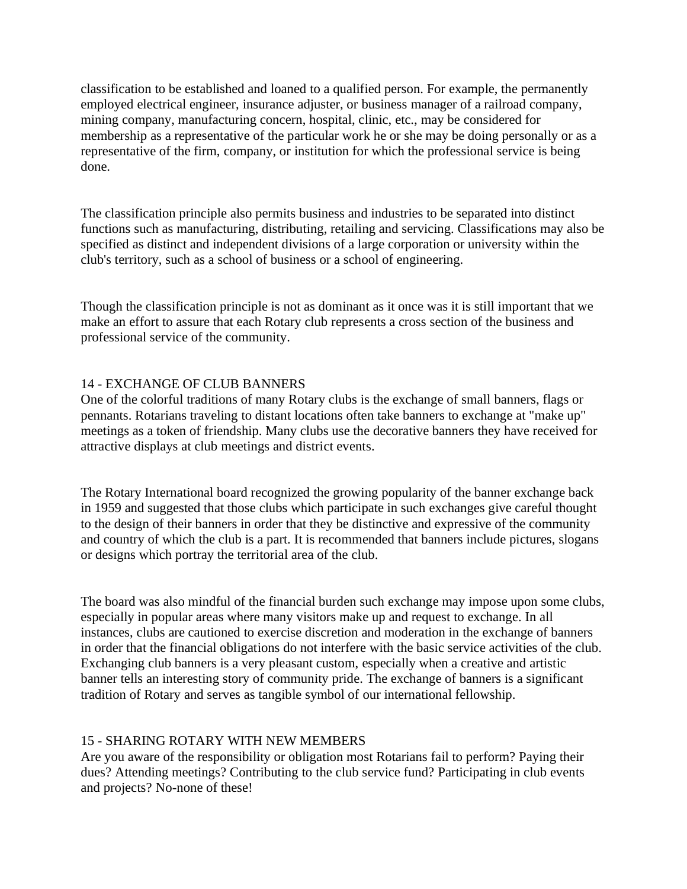classification to be established and loaned to a qualified person. For example, the permanently employed electrical engineer, insurance adjuster, or business manager of a railroad company, mining company, manufacturing concern, hospital, clinic, etc., may be considered for membership as a representative of the particular work he or she may be doing personally or as a representative of the firm, company, or institution for which the professional service is being done.

The classification principle also permits business and industries to be separated into distinct functions such as manufacturing, distributing, retailing and servicing. Classifications may also be specified as distinct and independent divisions of a large corporation or university within the club's territory, such as a school of business or a school of engineering.

Though the classification principle is not as dominant as it once was it is still important that we make an effort to assure that each Rotary club represents a cross section of the business and professional service of the community.

# 14 - EXCHANGE OF CLUB BANNERS

One of the colorful traditions of many Rotary clubs is the exchange of small banners, flags or pennants. Rotarians traveling to distant locations often take banners to exchange at "make up" meetings as a token of friendship. Many clubs use the decorative banners they have received for attractive displays at club meetings and district events.

The Rotary International board recognized the growing popularity of the banner exchange back in 1959 and suggested that those clubs which participate in such exchanges give careful thought to the design of their banners in order that they be distinctive and expressive of the community and country of which the club is a part. It is recommended that banners include pictures, slogans or designs which portray the territorial area of the club.

The board was also mindful of the financial burden such exchange may impose upon some clubs, especially in popular areas where many visitors make up and request to exchange. In all instances, clubs are cautioned to exercise discretion and moderation in the exchange of banners in order that the financial obligations do not interfere with the basic service activities of the club. Exchanging club banners is a very pleasant custom, especially when a creative and artistic banner tells an interesting story of community pride. The exchange of banners is a significant tradition of Rotary and serves as tangible symbol of our international fellowship.

# 15 - SHARING ROTARY WITH NEW MEMBERS

Are you aware of the responsibility or obligation most Rotarians fail to perform? Paying their dues? Attending meetings? Contributing to the club service fund? Participating in club events and projects? No-none of these!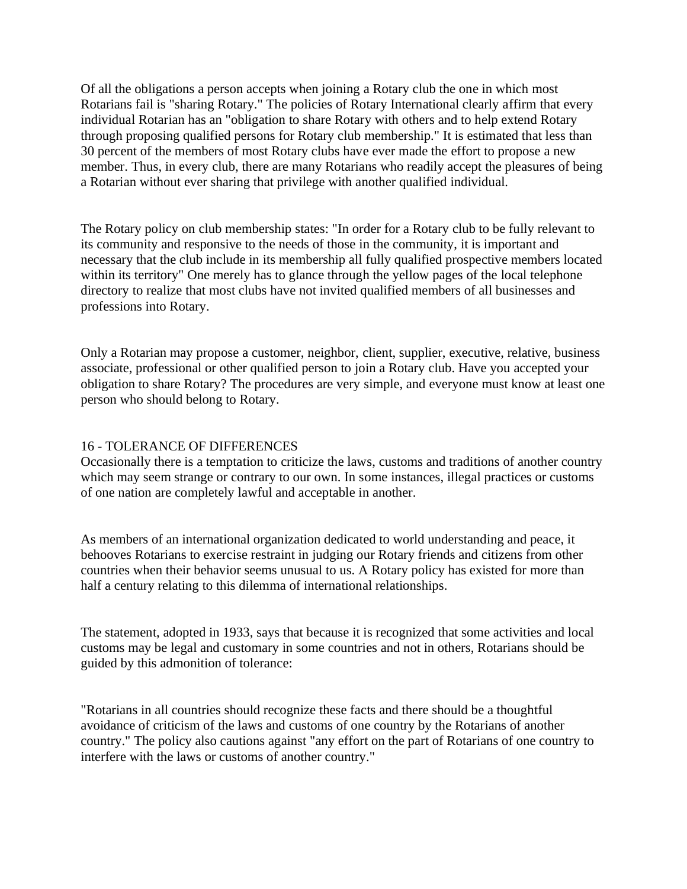Of all the obligations a person accepts when joining a Rotary club the one in which most Rotarians fail is "sharing Rotary." The policies of Rotary International clearly affirm that every individual Rotarian has an "obligation to share Rotary with others and to help extend Rotary through proposing qualified persons for Rotary club membership." It is estimated that less than 30 percent of the members of most Rotary clubs have ever made the effort to propose a new member. Thus, in every club, there are many Rotarians who readily accept the pleasures of being a Rotarian without ever sharing that privilege with another qualified individual.

The Rotary policy on club membership states: "In order for a Rotary club to be fully relevant to its community and responsive to the needs of those in the community, it is important and necessary that the club include in its membership all fully qualified prospective members located within its territory" One merely has to glance through the yellow pages of the local telephone directory to realize that most clubs have not invited qualified members of all businesses and professions into Rotary.

Only a Rotarian may propose a customer, neighbor, client, supplier, executive, relative, business associate, professional or other qualified person to join a Rotary club. Have you accepted your obligation to share Rotary? The procedures are very simple, and everyone must know at least one person who should belong to Rotary.

#### 16 - TOLERANCE OF DIFFERENCES

Occasionally there is a temptation to criticize the laws, customs and traditions of another country which may seem strange or contrary to our own. In some instances, illegal practices or customs of one nation are completely lawful and acceptable in another.

As members of an international organization dedicated to world understanding and peace, it behooves Rotarians to exercise restraint in judging our Rotary friends and citizens from other countries when their behavior seems unusual to us. A Rotary policy has existed for more than half a century relating to this dilemma of international relationships.

The statement, adopted in 1933, says that because it is recognized that some activities and local customs may be legal and customary in some countries and not in others, Rotarians should be guided by this admonition of tolerance:

"Rotarians in all countries should recognize these facts and there should be a thoughtful avoidance of criticism of the laws and customs of one country by the Rotarians of another country." The policy also cautions against "any effort on the part of Rotarians of one country to interfere with the laws or customs of another country."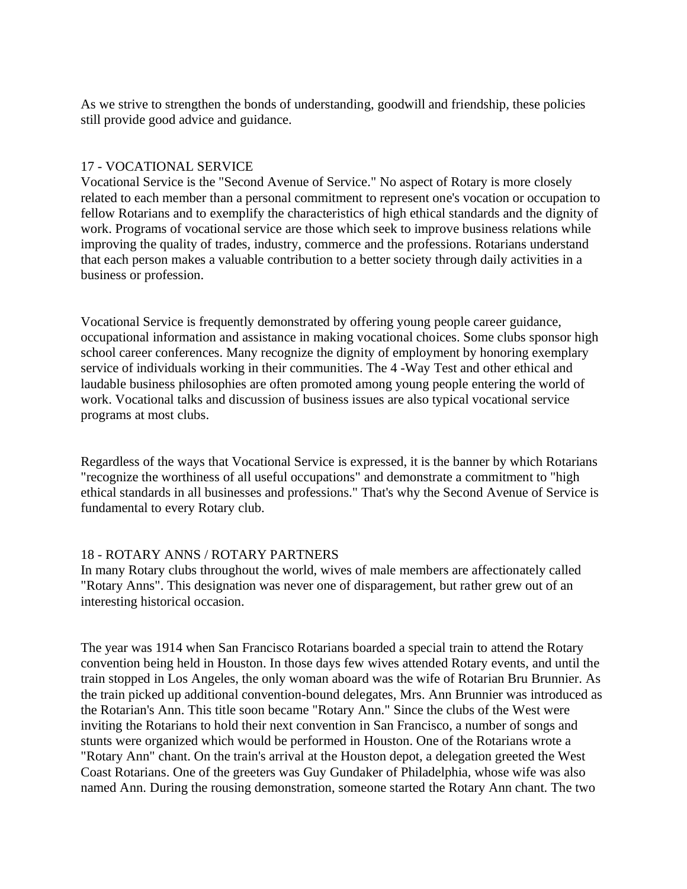As we strive to strengthen the bonds of understanding, goodwill and friendship, these policies still provide good advice and guidance.

## 17 - VOCATIONAL SERVICE

Vocational Service is the "Second Avenue of Service." No aspect of Rotary is more closely related to each member than a personal commitment to represent one's vocation or occupation to fellow Rotarians and to exemplify the characteristics of high ethical standards and the dignity of work. Programs of vocational service are those which seek to improve business relations while improving the quality of trades, industry, commerce and the professions. Rotarians understand that each person makes a valuable contribution to a better society through daily activities in a business or profession.

Vocational Service is frequently demonstrated by offering young people career guidance, occupational information and assistance in making vocational choices. Some clubs sponsor high school career conferences. Many recognize the dignity of employment by honoring exemplary service of individuals working in their communities. The 4 -Way Test and other ethical and laudable business philosophies are often promoted among young people entering the world of work. Vocational talks and discussion of business issues are also typical vocational service programs at most clubs.

Regardless of the ways that Vocational Service is expressed, it is the banner by which Rotarians "recognize the worthiness of all useful occupations" and demonstrate a commitment to "high ethical standards in all businesses and professions." That's why the Second Avenue of Service is fundamental to every Rotary club.

## 18 - ROTARY ANNS / ROTARY PARTNERS

In many Rotary clubs throughout the world, wives of male members are affectionately called "Rotary Anns". This designation was never one of disparagement, but rather grew out of an interesting historical occasion.

The year was 1914 when San Francisco Rotarians boarded a special train to attend the Rotary convention being held in Houston. In those days few wives attended Rotary events, and until the train stopped in Los Angeles, the only woman aboard was the wife of Rotarian Bru Brunnier. As the train picked up additional convention-bound delegates, Mrs. Ann Brunnier was introduced as the Rotarian's Ann. This title soon became "Rotary Ann." Since the clubs of the West were inviting the Rotarians to hold their next convention in San Francisco, a number of songs and stunts were organized which would be performed in Houston. One of the Rotarians wrote a "Rotary Ann" chant. On the train's arrival at the Houston depot, a delegation greeted the West Coast Rotarians. One of the greeters was Guy Gundaker of Philadelphia, whose wife was also named Ann. During the rousing demonstration, someone started the Rotary Ann chant. The two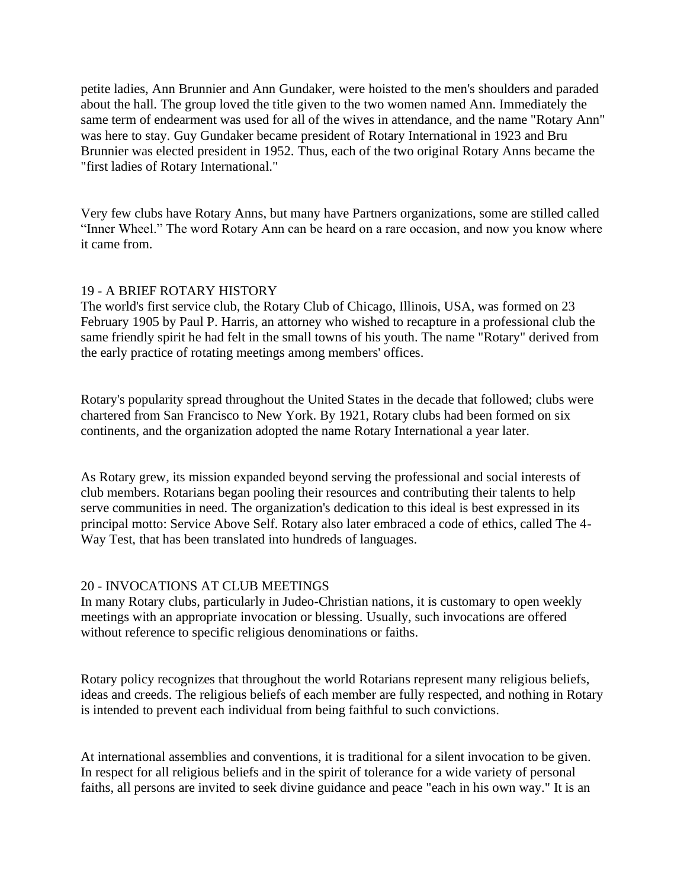petite ladies, Ann Brunnier and Ann Gundaker, were hoisted to the men's shoulders and paraded about the hall. The group loved the title given to the two women named Ann. Immediately the same term of endearment was used for all of the wives in attendance, and the name "Rotary Ann" was here to stay. Guy Gundaker became president of Rotary International in 1923 and Bru Brunnier was elected president in 1952. Thus, each of the two original Rotary Anns became the "first ladies of Rotary International."

Very few clubs have Rotary Anns, but many have Partners organizations, some are stilled called "Inner Wheel." The word Rotary Ann can be heard on a rare occasion, and now you know where it came from.

## 19 - A BRIEF ROTARY HISTORY

The world's first service club, the Rotary Club of Chicago, Illinois, USA, was formed on 23 February 1905 by Paul P. Harris, an attorney who wished to recapture in a professional club the same friendly spirit he had felt in the small towns of his youth. The name "Rotary" derived from the early practice of rotating meetings among members' offices.

Rotary's popularity spread throughout the United States in the decade that followed; clubs were chartered from San Francisco to New York. By 1921, Rotary clubs had been formed on six continents, and the organization adopted the name Rotary International a year later.

As Rotary grew, its mission expanded beyond serving the professional and social interests of club members. Rotarians began pooling their resources and contributing their talents to help serve communities in need. The organization's dedication to this ideal is best expressed in its principal motto: Service Above Self. Rotary also later embraced a code of ethics, called The 4- Way Test, that has been translated into hundreds of languages.

## 20 - INVOCATIONS AT CLUB MEETINGS

In many Rotary clubs, particularly in Judeo-Christian nations, it is customary to open weekly meetings with an appropriate invocation or blessing. Usually, such invocations are offered without reference to specific religious denominations or faiths.

Rotary policy recognizes that throughout the world Rotarians represent many religious beliefs, ideas and creeds. The religious beliefs of each member are fully respected, and nothing in Rotary is intended to prevent each individual from being faithful to such convictions.

At international assemblies and conventions, it is traditional for a silent invocation to be given. In respect for all religious beliefs and in the spirit of tolerance for a wide variety of personal faiths, all persons are invited to seek divine guidance and peace "each in his own way." It is an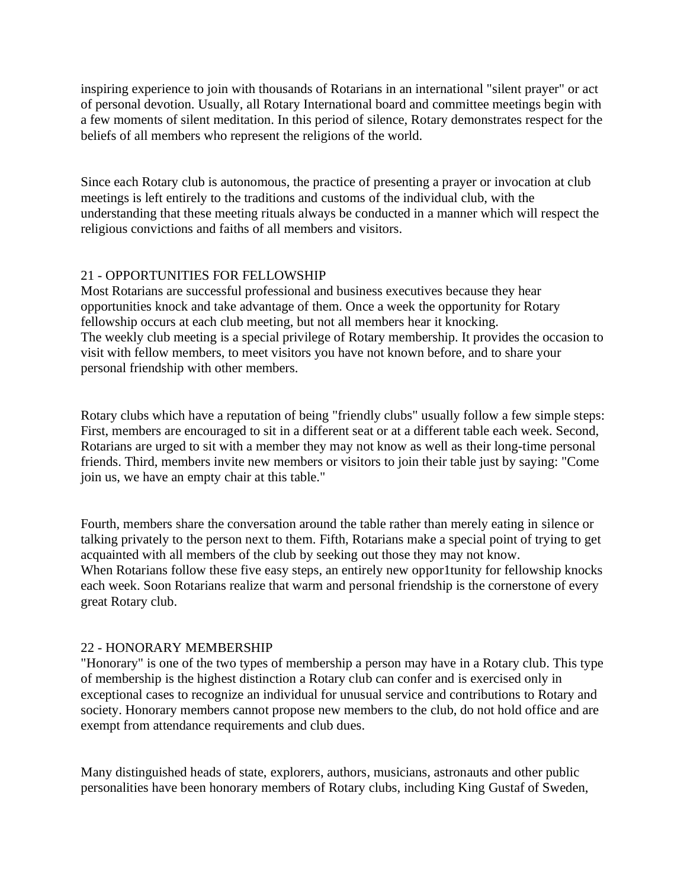inspiring experience to join with thousands of Rotarians in an international "silent prayer" or act of personal devotion. Usually, all Rotary International board and committee meetings begin with a few moments of silent meditation. In this period of silence, Rotary demonstrates respect for the beliefs of all members who represent the religions of the world.

Since each Rotary club is autonomous, the practice of presenting a prayer or invocation at club meetings is left entirely to the traditions and customs of the individual club, with the understanding that these meeting rituals always be conducted in a manner which will respect the religious convictions and faiths of all members and visitors.

# 21 - OPPORTUNITIES FOR FELLOWSHIP

Most Rotarians are successful professional and business executives because they hear opportunities knock and take advantage of them. Once a week the opportunity for Rotary fellowship occurs at each club meeting, but not all members hear it knocking. The weekly club meeting is a special privilege of Rotary membership. It provides the occasion to visit with fellow members, to meet visitors you have not known before, and to share your personal friendship with other members.

Rotary clubs which have a reputation of being "friendly clubs" usually follow a few simple steps: First, members are encouraged to sit in a different seat or at a different table each week. Second, Rotarians are urged to sit with a member they may not know as well as their long-time personal friends. Third, members invite new members or visitors to join their table just by saying: "Come join us, we have an empty chair at this table."

Fourth, members share the conversation around the table rather than merely eating in silence or talking privately to the person next to them. Fifth, Rotarians make a special point of trying to get acquainted with all members of the club by seeking out those they may not know. When Rotarians follow these five easy steps, an entirely new oppor1tunity for fellowship knocks each week. Soon Rotarians realize that warm and personal friendship is the cornerstone of every great Rotary club.

# 22 - HONORARY MEMBERSHIP

"Honorary" is one of the two types of membership a person may have in a Rotary club. This type of membership is the highest distinction a Rotary club can confer and is exercised only in exceptional cases to recognize an individual for unusual service and contributions to Rotary and society. Honorary members cannot propose new members to the club, do not hold office and are exempt from attendance requirements and club dues.

Many distinguished heads of state, explorers, authors, musicians, astronauts and other public personalities have been honorary members of Rotary clubs, including King Gustaf of Sweden,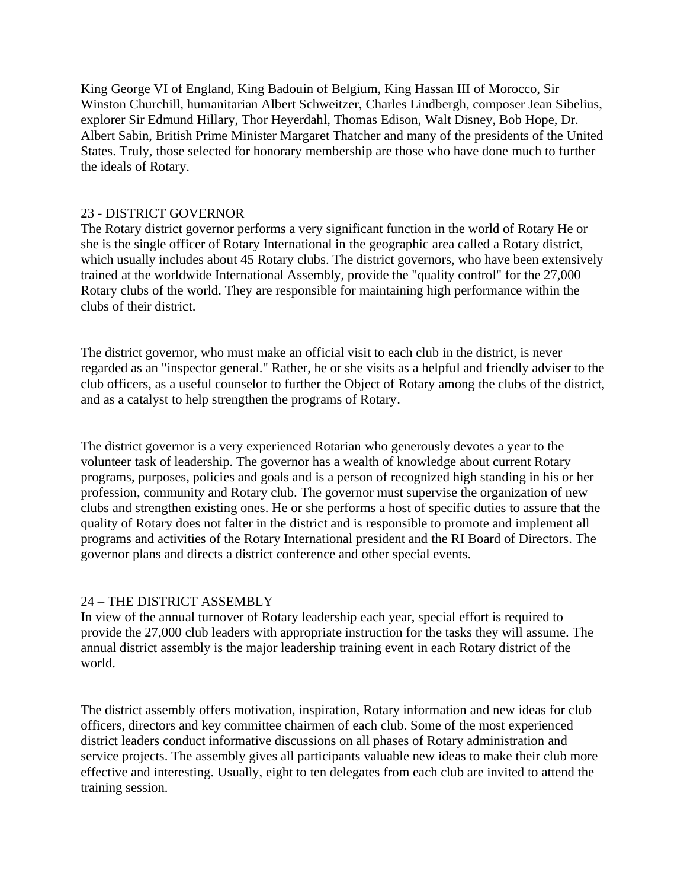King George VI of England, King Badouin of Belgium, King Hassan III of Morocco, Sir Winston Churchill, humanitarian Albert Schweitzer, Charles Lindbergh, composer Jean Sibelius, explorer Sir Edmund Hillary, Thor Heyerdahl, Thomas Edison, Walt Disney, Bob Hope, Dr. Albert Sabin, British Prime Minister Margaret Thatcher and many of the presidents of the United States. Truly, those selected for honorary membership are those who have done much to further the ideals of Rotary.

## 23 - DISTRICT GOVERNOR

The Rotary district governor performs a very significant function in the world of Rotary He or she is the single officer of Rotary International in the geographic area called a Rotary district, which usually includes about 45 Rotary clubs. The district governors, who have been extensively trained at the worldwide International Assembly, provide the "quality control" for the 27,000 Rotary clubs of the world. They are responsible for maintaining high performance within the clubs of their district.

The district governor, who must make an official visit to each club in the district, is never regarded as an "inspector general." Rather, he or she visits as a helpful and friendly adviser to the club officers, as a useful counselor to further the Object of Rotary among the clubs of the district, and as a catalyst to help strengthen the programs of Rotary.

The district governor is a very experienced Rotarian who generously devotes a year to the volunteer task of leadership. The governor has a wealth of knowledge about current Rotary programs, purposes, policies and goals and is a person of recognized high standing in his or her profession, community and Rotary club. The governor must supervise the organization of new clubs and strengthen existing ones. He or she performs a host of specific duties to assure that the quality of Rotary does not falter in the district and is responsible to promote and implement all programs and activities of the Rotary International president and the RI Board of Directors. The governor plans and directs a district conference and other special events.

## 24 – THE DISTRICT ASSEMBLY

In view of the annual turnover of Rotary leadership each year, special effort is required to provide the 27,000 club leaders with appropriate instruction for the tasks they will assume. The annual district assembly is the major leadership training event in each Rotary district of the world.

The district assembly offers motivation, inspiration, Rotary information and new ideas for club officers, directors and key committee chairmen of each club. Some of the most experienced district leaders conduct informative discussions on all phases of Rotary administration and service projects. The assembly gives all participants valuable new ideas to make their club more effective and interesting. Usually, eight to ten delegates from each club are invited to attend the training session.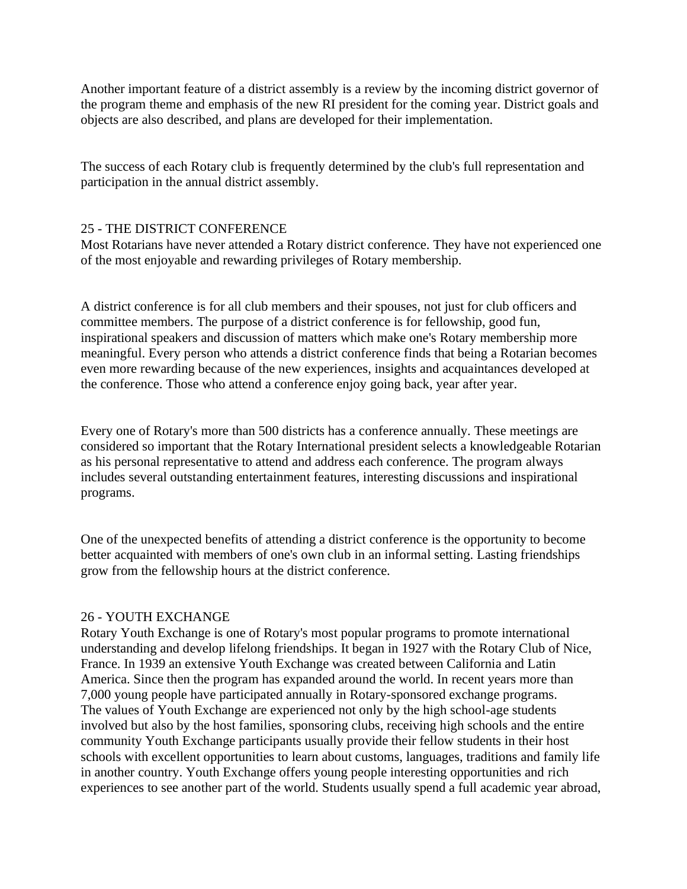Another important feature of a district assembly is a review by the incoming district governor of the program theme and emphasis of the new RI president for the coming year. District goals and objects are also described, and plans are developed for their implementation.

The success of each Rotary club is frequently determined by the club's full representation and participation in the annual district assembly.

## 25 - THE DISTRICT CONFERENCE

Most Rotarians have never attended a Rotary district conference. They have not experienced one of the most enjoyable and rewarding privileges of Rotary membership.

A district conference is for all club members and their spouses, not just for club officers and committee members. The purpose of a district conference is for fellowship, good fun, inspirational speakers and discussion of matters which make one's Rotary membership more meaningful. Every person who attends a district conference finds that being a Rotarian becomes even more rewarding because of the new experiences, insights and acquaintances developed at the conference. Those who attend a conference enjoy going back, year after year.

Every one of Rotary's more than 500 districts has a conference annually. These meetings are considered so important that the Rotary International president selects a knowledgeable Rotarian as his personal representative to attend and address each conference. The program always includes several outstanding entertainment features, interesting discussions and inspirational programs.

One of the unexpected benefits of attending a district conference is the opportunity to become better acquainted with members of one's own club in an informal setting. Lasting friendships grow from the fellowship hours at the district conference.

# 26 - YOUTH EXCHANGE

Rotary Youth Exchange is one of Rotary's most popular programs to promote international understanding and develop lifelong friendships. It began in 1927 with the Rotary Club of Nice, France. In 1939 an extensive Youth Exchange was created between California and Latin America. Since then the program has expanded around the world. In recent years more than 7,000 young people have participated annually in Rotary-sponsored exchange programs. The values of Youth Exchange are experienced not only by the high school-age students involved but also by the host families, sponsoring clubs, receiving high schools and the entire community Youth Exchange participants usually provide their fellow students in their host schools with excellent opportunities to learn about customs, languages, traditions and family life in another country. Youth Exchange offers young people interesting opportunities and rich experiences to see another part of the world. Students usually spend a full academic year abroad,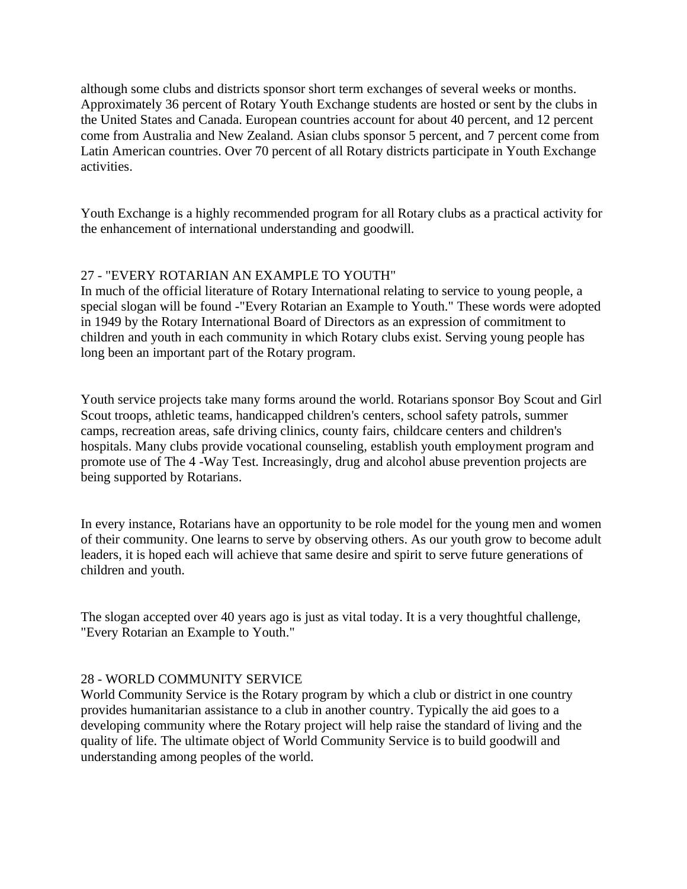although some clubs and districts sponsor short term exchanges of several weeks or months. Approximately 36 percent of Rotary Youth Exchange students are hosted or sent by the clubs in the United States and Canada. European countries account for about 40 percent, and 12 percent come from Australia and New Zealand. Asian clubs sponsor 5 percent, and 7 percent come from Latin American countries. Over 70 percent of all Rotary districts participate in Youth Exchange activities.

Youth Exchange is a highly recommended program for all Rotary clubs as a practical activity for the enhancement of international understanding and goodwill.

# 27 - "EVERY ROTARIAN AN EXAMPLE TO YOUTH"

In much of the official literature of Rotary International relating to service to young people, a special slogan will be found -"Every Rotarian an Example to Youth." These words were adopted in 1949 by the Rotary International Board of Directors as an expression of commitment to children and youth in each community in which Rotary clubs exist. Serving young people has long been an important part of the Rotary program.

Youth service projects take many forms around the world. Rotarians sponsor Boy Scout and Girl Scout troops, athletic teams, handicapped children's centers, school safety patrols, summer camps, recreation areas, safe driving clinics, county fairs, childcare centers and children's hospitals. Many clubs provide vocational counseling, establish youth employment program and promote use of The 4 -Way Test. Increasingly, drug and alcohol abuse prevention projects are being supported by Rotarians.

In every instance, Rotarians have an opportunity to be role model for the young men and women of their community. One learns to serve by observing others. As our youth grow to become adult leaders, it is hoped each will achieve that same desire and spirit to serve future generations of children and youth.

The slogan accepted over 40 years ago is just as vital today. It is a very thoughtful challenge, "Every Rotarian an Example to Youth."

# 28 - WORLD COMMUNITY SERVICE

World Community Service is the Rotary program by which a club or district in one country provides humanitarian assistance to a club in another country. Typically the aid goes to a developing community where the Rotary project will help raise the standard of living and the quality of life. The ultimate object of World Community Service is to build goodwill and understanding among peoples of the world.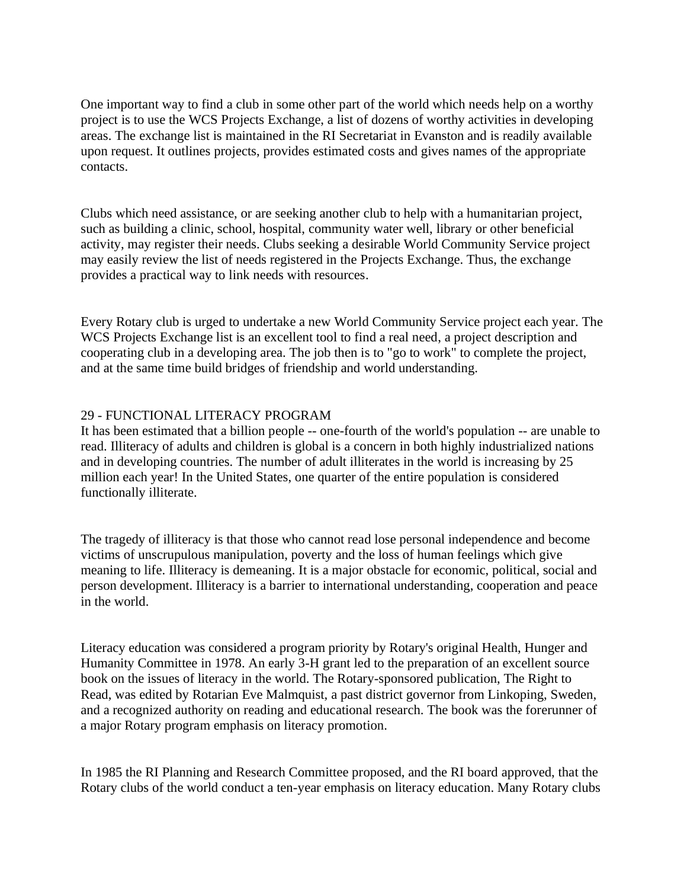One important way to find a club in some other part of the world which needs help on a worthy project is to use the WCS Projects Exchange, a list of dozens of worthy activities in developing areas. The exchange list is maintained in the RI Secretariat in Evanston and is readily available upon request. It outlines projects, provides estimated costs and gives names of the appropriate contacts.

Clubs which need assistance, or are seeking another club to help with a humanitarian project, such as building a clinic, school, hospital, community water well, library or other beneficial activity, may register their needs. Clubs seeking a desirable World Community Service project may easily review the list of needs registered in the Projects Exchange. Thus, the exchange provides a practical way to link needs with resources.

Every Rotary club is urged to undertake a new World Community Service project each year. The WCS Projects Exchange list is an excellent tool to find a real need, a project description and cooperating club in a developing area. The job then is to "go to work" to complete the project, and at the same time build bridges of friendship and world understanding.

## 29 - FUNCTIONAL LITERACY PROGRAM

It has been estimated that a billion people -- one-fourth of the world's population -- are unable to read. Illiteracy of adults and children is global is a concern in both highly industrialized nations and in developing countries. The number of adult illiterates in the world is increasing by 25 million each year! In the United States, one quarter of the entire population is considered functionally illiterate.

The tragedy of illiteracy is that those who cannot read lose personal independence and become victims of unscrupulous manipulation, poverty and the loss of human feelings which give meaning to life. Illiteracy is demeaning. It is a major obstacle for economic, political, social and person development. Illiteracy is a barrier to international understanding, cooperation and peace in the world.

Literacy education was considered a program priority by Rotary's original Health, Hunger and Humanity Committee in 1978. An early 3-H grant led to the preparation of an excellent source book on the issues of literacy in the world. The Rotary-sponsored publication, The Right to Read, was edited by Rotarian Eve Malmquist, a past district governor from Linkoping, Sweden, and a recognized authority on reading and educational research. The book was the forerunner of a major Rotary program emphasis on literacy promotion.

In 1985 the RI Planning and Research Committee proposed, and the RI board approved, that the Rotary clubs of the world conduct a ten-year emphasis on literacy education. Many Rotary clubs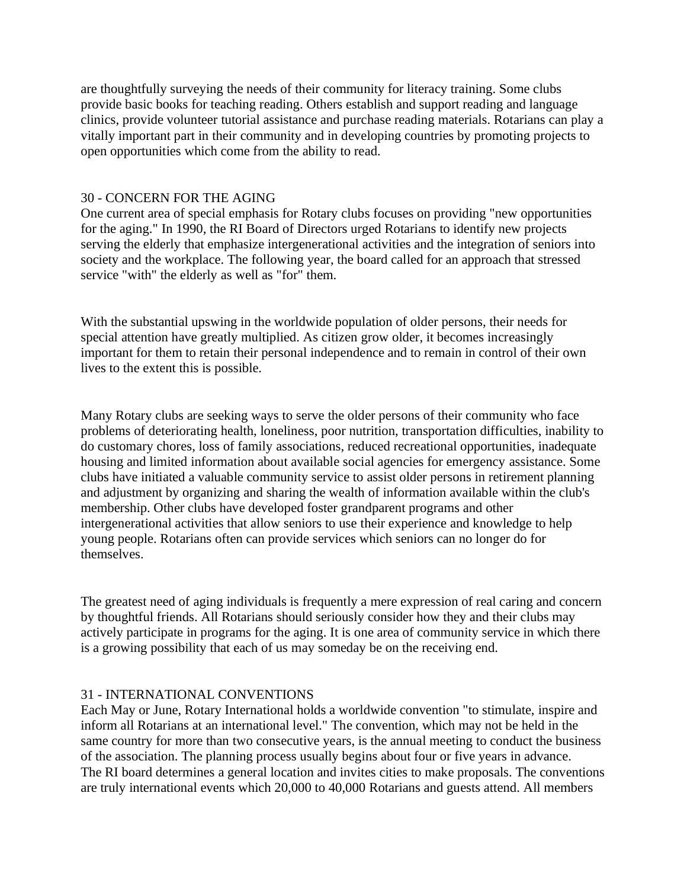are thoughtfully surveying the needs of their community for literacy training. Some clubs provide basic books for teaching reading. Others establish and support reading and language clinics, provide volunteer tutorial assistance and purchase reading materials. Rotarians can play a vitally important part in their community and in developing countries by promoting projects to open opportunities which come from the ability to read.

## 30 - CONCERN FOR THE AGING

One current area of special emphasis for Rotary clubs focuses on providing "new opportunities for the aging." In 1990, the RI Board of Directors urged Rotarians to identify new projects serving the elderly that emphasize intergenerational activities and the integration of seniors into society and the workplace. The following year, the board called for an approach that stressed service "with" the elderly as well as "for" them.

With the substantial upswing in the worldwide population of older persons, their needs for special attention have greatly multiplied. As citizen grow older, it becomes increasingly important for them to retain their personal independence and to remain in control of their own lives to the extent this is possible.

Many Rotary clubs are seeking ways to serve the older persons of their community who face problems of deteriorating health, loneliness, poor nutrition, transportation difficulties, inability to do customary chores, loss of family associations, reduced recreational opportunities, inadequate housing and limited information about available social agencies for emergency assistance. Some clubs have initiated a valuable community service to assist older persons in retirement planning and adjustment by organizing and sharing the wealth of information available within the club's membership. Other clubs have developed foster grandparent programs and other intergenerational activities that allow seniors to use their experience and knowledge to help young people. Rotarians often can provide services which seniors can no longer do for themselves.

The greatest need of aging individuals is frequently a mere expression of real caring and concern by thoughtful friends. All Rotarians should seriously consider how they and their clubs may actively participate in programs for the aging. It is one area of community service in which there is a growing possibility that each of us may someday be on the receiving end.

# 31 - INTERNATIONAL CONVENTIONS

Each May or June, Rotary International holds a worldwide convention "to stimulate, inspire and inform all Rotarians at an international level." The convention, which may not be held in the same country for more than two consecutive years, is the annual meeting to conduct the business of the association. The planning process usually begins about four or five years in advance. The RI board determines a general location and invites cities to make proposals. The conventions are truly international events which 20,000 to 40,000 Rotarians and guests attend. All members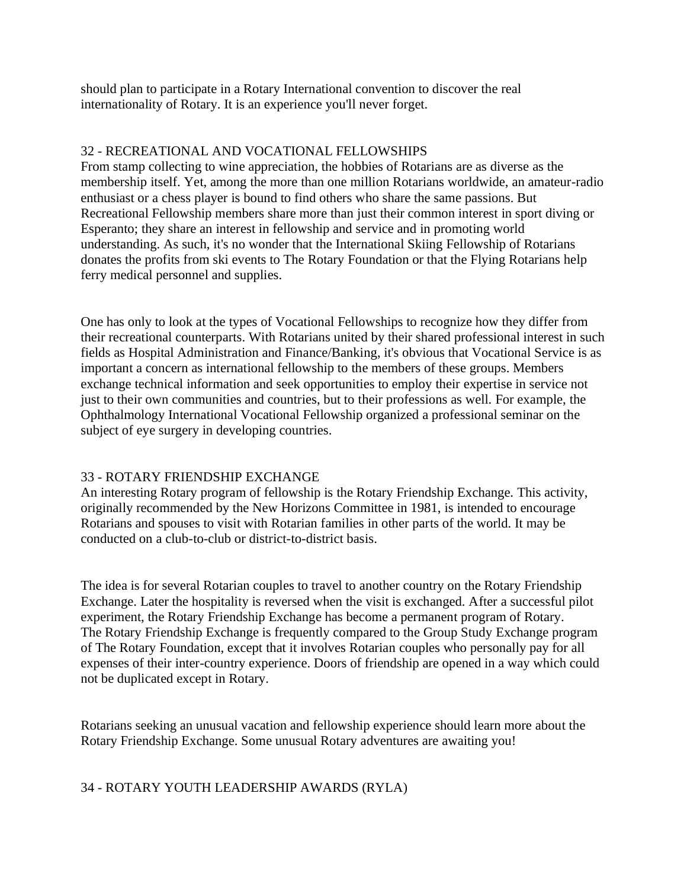should plan to participate in a Rotary International convention to discover the real internationality of Rotary. It is an experience you'll never forget.

## 32 - RECREATIONAL AND VOCATIONAL FELLOWSHIPS

From stamp collecting to wine appreciation, the hobbies of Rotarians are as diverse as the membership itself. Yet, among the more than one million Rotarians worldwide, an amateur-radio enthusiast or a chess player is bound to find others who share the same passions. But Recreational Fellowship members share more than just their common interest in sport diving or Esperanto; they share an interest in fellowship and service and in promoting world understanding. As such, it's no wonder that the International Skiing Fellowship of Rotarians donates the profits from ski events to The Rotary Foundation or that the Flying Rotarians help ferry medical personnel and supplies.

One has only to look at the types of Vocational Fellowships to recognize how they differ from their recreational counterparts. With Rotarians united by their shared professional interest in such fields as Hospital Administration and Finance/Banking, it's obvious that Vocational Service is as important a concern as international fellowship to the members of these groups. Members exchange technical information and seek opportunities to employ their expertise in service not just to their own communities and countries, but to their professions as well. For example, the Ophthalmology International Vocational Fellowship organized a professional seminar on the subject of eye surgery in developing countries.

## 33 - ROTARY FRIENDSHIP EXCHANGE

An interesting Rotary program of fellowship is the Rotary Friendship Exchange. This activity, originally recommended by the New Horizons Committee in 1981, is intended to encourage Rotarians and spouses to visit with Rotarian families in other parts of the world. It may be conducted on a club-to-club or district-to-district basis.

The idea is for several Rotarian couples to travel to another country on the Rotary Friendship Exchange. Later the hospitality is reversed when the visit is exchanged. After a successful pilot experiment, the Rotary Friendship Exchange has become a permanent program of Rotary. The Rotary Friendship Exchange is frequently compared to the Group Study Exchange program of The Rotary Foundation, except that it involves Rotarian couples who personally pay for all expenses of their inter-country experience. Doors of friendship are opened in a way which could not be duplicated except in Rotary.

Rotarians seeking an unusual vacation and fellowship experience should learn more about the Rotary Friendship Exchange. Some unusual Rotary adventures are awaiting you!

# 34 - ROTARY YOUTH LEADERSHIP AWARDS (RYLA)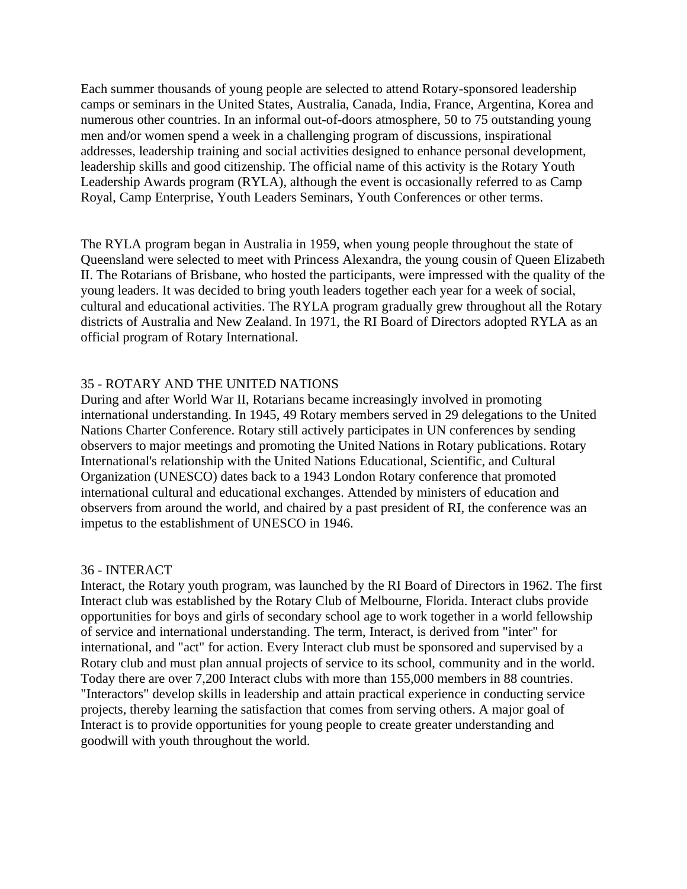Each summer thousands of young people are selected to attend Rotary-sponsored leadership camps or seminars in the United States, Australia, Canada, India, France, Argentina, Korea and numerous other countries. In an informal out-of-doors atmosphere, 50 to 75 outstanding young men and/or women spend a week in a challenging program of discussions, inspirational addresses, leadership training and social activities designed to enhance personal development, leadership skills and good citizenship. The official name of this activity is the Rotary Youth Leadership Awards program (RYLA), although the event is occasionally referred to as Camp Royal, Camp Enterprise, Youth Leaders Seminars, Youth Conferences or other terms.

The RYLA program began in Australia in 1959, when young people throughout the state of Queensland were selected to meet with Princess Alexandra, the young cousin of Queen Elizabeth II. The Rotarians of Brisbane, who hosted the participants, were impressed with the quality of the young leaders. It was decided to bring youth leaders together each year for a week of social, cultural and educational activities. The RYLA program gradually grew throughout all the Rotary districts of Australia and New Zealand. In 1971, the RI Board of Directors adopted RYLA as an official program of Rotary International.

## 35 - ROTARY AND THE UNITED NATIONS

During and after World War II, Rotarians became increasingly involved in promoting international understanding. In 1945, 49 Rotary members served in 29 delegations to the United Nations Charter Conference. Rotary still actively participates in UN conferences by sending observers to major meetings and promoting the United Nations in Rotary publications. Rotary International's relationship with the United Nations Educational, Scientific, and Cultural Organization (UNESCO) dates back to a 1943 London Rotary conference that promoted international cultural and educational exchanges. Attended by ministers of education and observers from around the world, and chaired by a past president of RI, the conference was an impetus to the establishment of UNESCO in 1946.

#### 36 - INTERACT

Interact, the Rotary youth program, was launched by the RI Board of Directors in 1962. The first Interact club was established by the Rotary Club of Melbourne, Florida. Interact clubs provide opportunities for boys and girls of secondary school age to work together in a world fellowship of service and international understanding. The term, Interact, is derived from "inter" for international, and "act" for action. Every Interact club must be sponsored and supervised by a Rotary club and must plan annual projects of service to its school, community and in the world. Today there are over 7,200 Interact clubs with more than 155,000 members in 88 countries. "Interactors" develop skills in leadership and attain practical experience in conducting service projects, thereby learning the satisfaction that comes from serving others. A major goal of Interact is to provide opportunities for young people to create greater understanding and goodwill with youth throughout the world.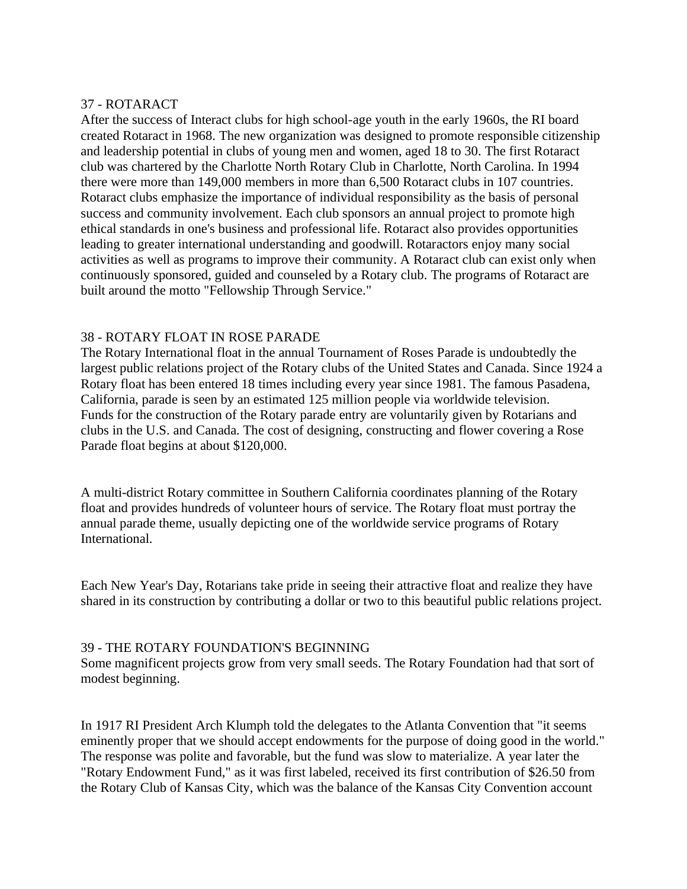## 37 - ROTARACT

After the success of Interact clubs for high school-age youth in the early 1960s, the RI board created Rotaract in 1968. The new organization was designed to promote responsible citizenship and leadership potential in clubs of young men and women, aged 18 to 30. The first Rotaract club was chartered by the Charlotte North Rotary Club in Charlotte, North Carolina. In 1994 there were more than 149,000 members in more than 6,500 Rotaract clubs in 107 countries. Rotaract clubs emphasize the importance of individual responsibility as the basis of personal success and community involvement. Each club sponsors an annual project to promote high ethical standards in one's business and professional life. Rotaract also provides opportunities leading to greater international understanding and goodwill. Rotaractors enjoy many social activities as well as programs to improve their community. A Rotaract club can exist only when continuously sponsored, guided and counseled by a Rotary club. The programs of Rotaract are built around the motto "Fellowship Through Service."

#### 38 - ROTARY FLOAT IN ROSE PARADE

The Rotary International float in the annual Tournament of Roses Parade is undoubtedly the largest public relations project of the Rotary clubs of the United States and Canada. Since 1924 a Rotary float has been entered 18 times including every year since 1981. The famous Pasadena, California, parade is seen by an estimated 125 million people via worldwide television. Funds for the construction of the Rotary parade entry are voluntarily given by Rotarians and clubs in the U.S. and Canada. The cost of designing, constructing and flower covering a Rose Parade float begins at about \$120,000.

A multi-district Rotary committee in Southern California coordinates planning of the Rotary float and provides hundreds of volunteer hours of service. The Rotary float must portray the annual parade theme, usually depicting one of the worldwide service programs of Rotary International.

Each New Year's Day, Rotarians take pride in seeing their attractive float and realize they have shared in its construction by contributing a dollar or two to this beautiful public relations project.

#### 39 - THE ROTARY FOUNDATION'S BEGINNING

Some magnificent projects grow from very small seeds. The Rotary Foundation had that sort of modest beginning.

In 1917 RI President Arch Klumph told the delegates to the Atlanta Convention that "it seems eminently proper that we should accept endowments for the purpose of doing good in the world." The response was polite and favorable, but the fund was slow to materialize. A year later the "Rotary Endowment Fund," as it was first labeled, received its first contribution of \$26.50 from the Rotary Club of Kansas City, which was the balance of the Kansas City Convention account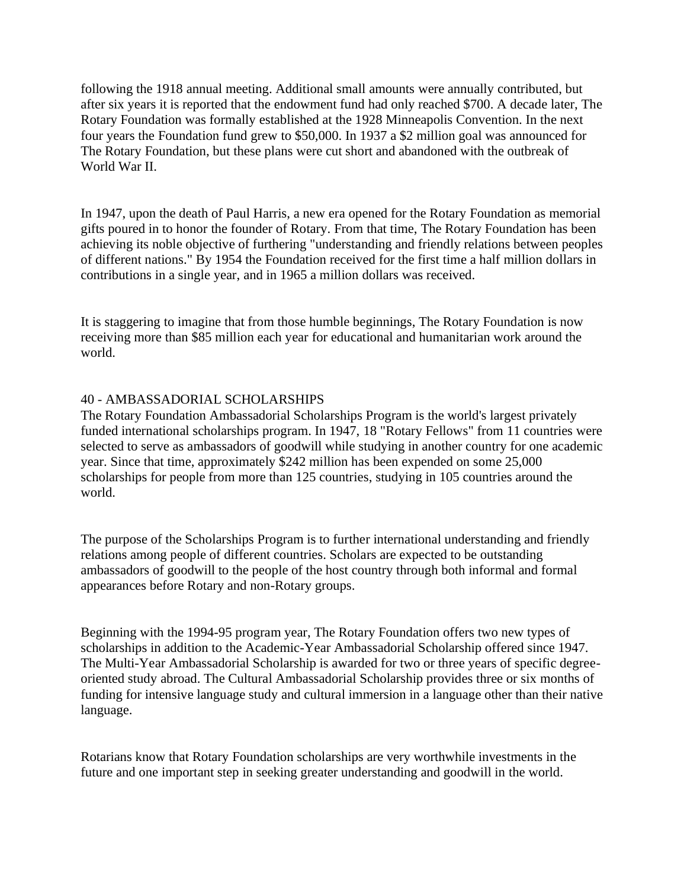following the 1918 annual meeting. Additional small amounts were annually contributed, but after six years it is reported that the endowment fund had only reached \$700. A decade later, The Rotary Foundation was formally established at the 1928 Minneapolis Convention. In the next four years the Foundation fund grew to \$50,000. In 1937 a \$2 million goal was announced for The Rotary Foundation, but these plans were cut short and abandoned with the outbreak of World War II.

In 1947, upon the death of Paul Harris, a new era opened for the Rotary Foundation as memorial gifts poured in to honor the founder of Rotary. From that time, The Rotary Foundation has been achieving its noble objective of furthering "understanding and friendly relations between peoples of different nations." By 1954 the Foundation received for the first time a half million dollars in contributions in a single year, and in 1965 a million dollars was received.

It is staggering to imagine that from those humble beginnings, The Rotary Foundation is now receiving more than \$85 million each year for educational and humanitarian work around the world.

#### 40 - AMBASSADORIAL SCHOLARSHIPS

The Rotary Foundation Ambassadorial Scholarships Program is the world's largest privately funded international scholarships program. In 1947, 18 "Rotary Fellows" from 11 countries were selected to serve as ambassadors of goodwill while studying in another country for one academic year. Since that time, approximately \$242 million has been expended on some 25,000 scholarships for people from more than 125 countries, studying in 105 countries around the world.

The purpose of the Scholarships Program is to further international understanding and friendly relations among people of different countries. Scholars are expected to be outstanding ambassadors of goodwill to the people of the host country through both informal and formal appearances before Rotary and non-Rotary groups.

Beginning with the 1994-95 program year, The Rotary Foundation offers two new types of scholarships in addition to the Academic-Year Ambassadorial Scholarship offered since 1947. The Multi-Year Ambassadorial Scholarship is awarded for two or three years of specific degreeoriented study abroad. The Cultural Ambassadorial Scholarship provides three or six months of funding for intensive language study and cultural immersion in a language other than their native language.

Rotarians know that Rotary Foundation scholarships are very worthwhile investments in the future and one important step in seeking greater understanding and goodwill in the world.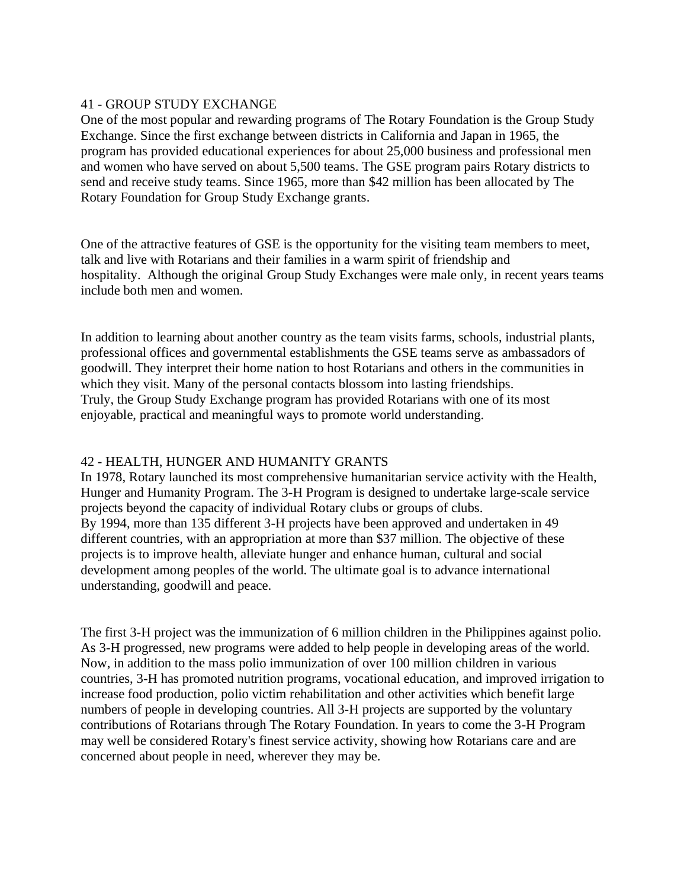## 41 - GROUP STUDY EXCHANGE

One of the most popular and rewarding programs of The Rotary Foundation is the Group Study Exchange. Since the first exchange between districts in California and Japan in 1965, the program has provided educational experiences for about 25,000 business and professional men and women who have served on about 5,500 teams. The GSE program pairs Rotary districts to send and receive study teams. Since 1965, more than \$42 million has been allocated by The Rotary Foundation for Group Study Exchange grants.

One of the attractive features of GSE is the opportunity for the visiting team members to meet, talk and live with Rotarians and their families in a warm spirit of friendship and hospitality. Although the original Group Study Exchanges were male only, in recent years teams include both men and women.

In addition to learning about another country as the team visits farms, schools, industrial plants, professional offices and governmental establishments the GSE teams serve as ambassadors of goodwill. They interpret their home nation to host Rotarians and others in the communities in which they visit. Many of the personal contacts blossom into lasting friendships. Truly, the Group Study Exchange program has provided Rotarians with one of its most enjoyable, practical and meaningful ways to promote world understanding.

# 42 - HEALTH, HUNGER AND HUMANITY GRANTS

In 1978, Rotary launched its most comprehensive humanitarian service activity with the Health, Hunger and Humanity Program. The 3-H Program is designed to undertake large-scale service projects beyond the capacity of individual Rotary clubs or groups of clubs. By 1994, more than 135 different 3-H projects have been approved and undertaken in 49 different countries, with an appropriation at more than \$37 million. The objective of these projects is to improve health, alleviate hunger and enhance human, cultural and social development among peoples of the world. The ultimate goal is to advance international understanding, goodwill and peace.

The first 3-H project was the immunization of 6 million children in the Philippines against polio. As 3-H progressed, new programs were added to help people in developing areas of the world. Now, in addition to the mass polio immunization of over 100 million children in various countries, 3-H has promoted nutrition programs, vocational education, and improved irrigation to increase food production, polio victim rehabilitation and other activities which benefit large numbers of people in developing countries. All 3-H projects are supported by the voluntary contributions of Rotarians through The Rotary Foundation. In years to come the 3-H Program may well be considered Rotary's finest service activity, showing how Rotarians care and are concerned about people in need, wherever they may be.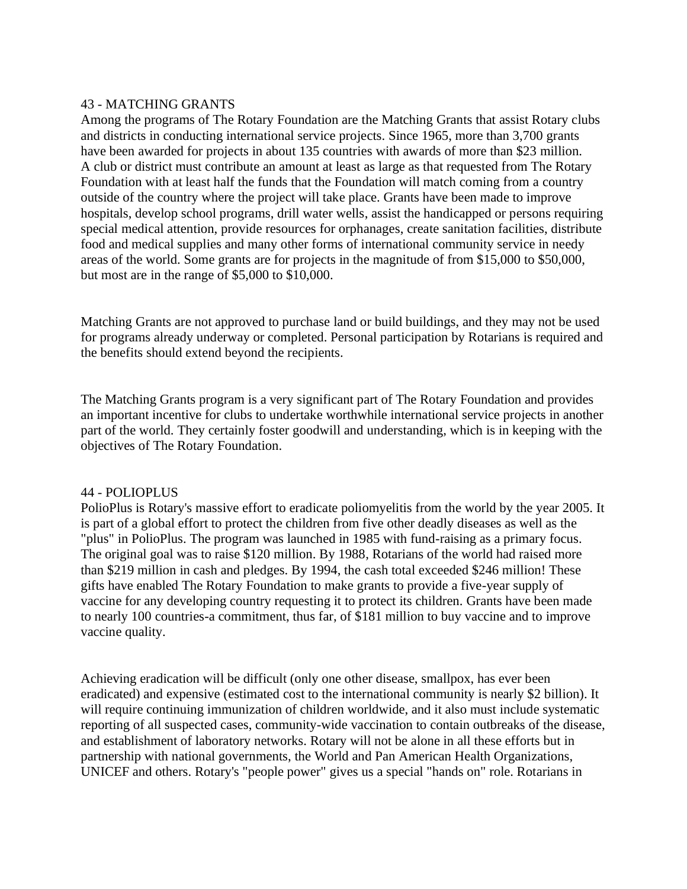## 43 - MATCHING GRANTS

Among the programs of The Rotary Foundation are the Matching Grants that assist Rotary clubs and districts in conducting international service projects. Since 1965, more than 3,700 grants have been awarded for projects in about 135 countries with awards of more than \$23 million. A club or district must contribute an amount at least as large as that requested from The Rotary Foundation with at least half the funds that the Foundation will match coming from a country outside of the country where the project will take place. Grants have been made to improve hospitals, develop school programs, drill water wells, assist the handicapped or persons requiring special medical attention, provide resources for orphanages, create sanitation facilities, distribute food and medical supplies and many other forms of international community service in needy areas of the world. Some grants are for projects in the magnitude of from \$15,000 to \$50,000, but most are in the range of \$5,000 to \$10,000.

Matching Grants are not approved to purchase land or build buildings, and they may not be used for programs already underway or completed. Personal participation by Rotarians is required and the benefits should extend beyond the recipients.

The Matching Grants program is a very significant part of The Rotary Foundation and provides an important incentive for clubs to undertake worthwhile international service projects in another part of the world. They certainly foster goodwill and understanding, which is in keeping with the objectives of The Rotary Foundation.

## 44 - POLIOPLUS

PolioPlus is Rotary's massive effort to eradicate poliomyelitis from the world by the year 2005. It is part of a global effort to protect the children from five other deadly diseases as well as the "plus" in PolioPlus. The program was launched in 1985 with fund-raising as a primary focus. The original goal was to raise \$120 million. By 1988, Rotarians of the world had raised more than \$219 million in cash and pledges. By 1994, the cash total exceeded \$246 million! These gifts have enabled The Rotary Foundation to make grants to provide a five-year supply of vaccine for any developing country requesting it to protect its children. Grants have been made to nearly 100 countries-a commitment, thus far, of \$181 million to buy vaccine and to improve vaccine quality.

Achieving eradication will be difficult (only one other disease, smallpox, has ever been eradicated) and expensive (estimated cost to the international community is nearly \$2 billion). It will require continuing immunization of children worldwide, and it also must include systematic reporting of all suspected cases, community-wide vaccination to contain outbreaks of the disease, and establishment of laboratory networks. Rotary will not be alone in all these efforts but in partnership with national governments, the World and Pan American Health Organizations, UNICEF and others. Rotary's "people power" gives us a special "hands on" role. Rotarians in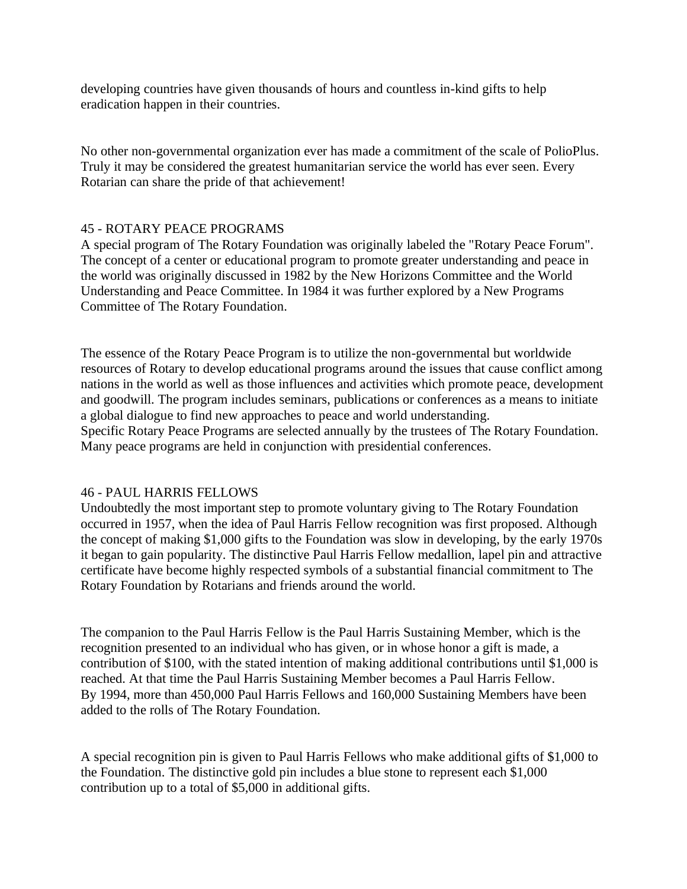developing countries have given thousands of hours and countless in-kind gifts to help eradication happen in their countries.

No other non-governmental organization ever has made a commitment of the scale of PolioPlus. Truly it may be considered the greatest humanitarian service the world has ever seen. Every Rotarian can share the pride of that achievement!

## 45 - ROTARY PEACE PROGRAMS

A special program of The Rotary Foundation was originally labeled the "Rotary Peace Forum". The concept of a center or educational program to promote greater understanding and peace in the world was originally discussed in 1982 by the New Horizons Committee and the World Understanding and Peace Committee. In 1984 it was further explored by a New Programs Committee of The Rotary Foundation.

The essence of the Rotary Peace Program is to utilize the non-governmental but worldwide resources of Rotary to develop educational programs around the issues that cause conflict among nations in the world as well as those influences and activities which promote peace, development and goodwill. The program includes seminars, publications or conferences as a means to initiate a global dialogue to find new approaches to peace and world understanding. Specific Rotary Peace Programs are selected annually by the trustees of The Rotary Foundation. Many peace programs are held in conjunction with presidential conferences.

## 46 - PAUL HARRIS FELLOWS

Undoubtedly the most important step to promote voluntary giving to The Rotary Foundation occurred in 1957, when the idea of Paul Harris Fellow recognition was first proposed. Although the concept of making \$1,000 gifts to the Foundation was slow in developing, by the early 1970s it began to gain popularity. The distinctive Paul Harris Fellow medallion, lapel pin and attractive certificate have become highly respected symbols of a substantial financial commitment to The Rotary Foundation by Rotarians and friends around the world.

The companion to the Paul Harris Fellow is the Paul Harris Sustaining Member, which is the recognition presented to an individual who has given, or in whose honor a gift is made, a contribution of \$100, with the stated intention of making additional contributions until \$1,000 is reached. At that time the Paul Harris Sustaining Member becomes a Paul Harris Fellow. By 1994, more than 450,000 Paul Harris Fellows and 160,000 Sustaining Members have been added to the rolls of The Rotary Foundation.

A special recognition pin is given to Paul Harris Fellows who make additional gifts of \$1,000 to the Foundation. The distinctive gold pin includes a blue stone to represent each \$1,000 contribution up to a total of \$5,000 in additional gifts.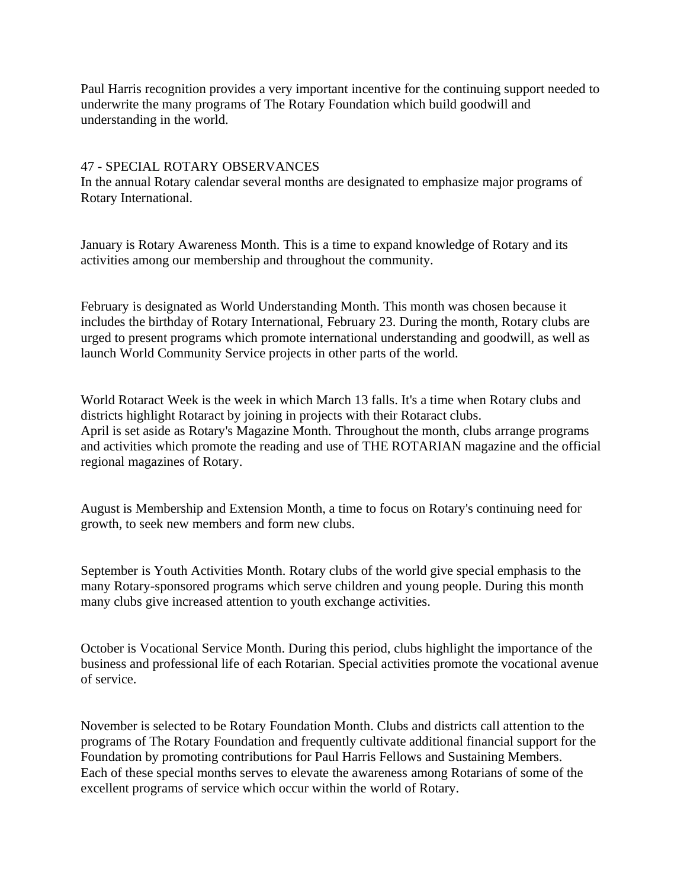Paul Harris recognition provides a very important incentive for the continuing support needed to underwrite the many programs of The Rotary Foundation which build goodwill and understanding in the world.

## 47 - SPECIAL ROTARY OBSERVANCES

In the annual Rotary calendar several months are designated to emphasize major programs of Rotary International.

January is Rotary Awareness Month. This is a time to expand knowledge of Rotary and its activities among our membership and throughout the community.

February is designated as World Understanding Month. This month was chosen because it includes the birthday of Rotary International, February 23. During the month, Rotary clubs are urged to present programs which promote international understanding and goodwill, as well as launch World Community Service projects in other parts of the world.

World Rotaract Week is the week in which March 13 falls. It's a time when Rotary clubs and districts highlight Rotaract by joining in projects with their Rotaract clubs. April is set aside as Rotary's Magazine Month. Throughout the month, clubs arrange programs and activities which promote the reading and use of THE ROTARIAN magazine and the official regional magazines of Rotary.

August is Membership and Extension Month, a time to focus on Rotary's continuing need for growth, to seek new members and form new clubs.

September is Youth Activities Month. Rotary clubs of the world give special emphasis to the many Rotary-sponsored programs which serve children and young people. During this month many clubs give increased attention to youth exchange activities.

October is Vocational Service Month. During this period, clubs highlight the importance of the business and professional life of each Rotarian. Special activities promote the vocational avenue of service.

November is selected to be Rotary Foundation Month. Clubs and districts call attention to the programs of The Rotary Foundation and frequently cultivate additional financial support for the Foundation by promoting contributions for Paul Harris Fellows and Sustaining Members. Each of these special months serves to elevate the awareness among Rotarians of some of the excellent programs of service which occur within the world of Rotary.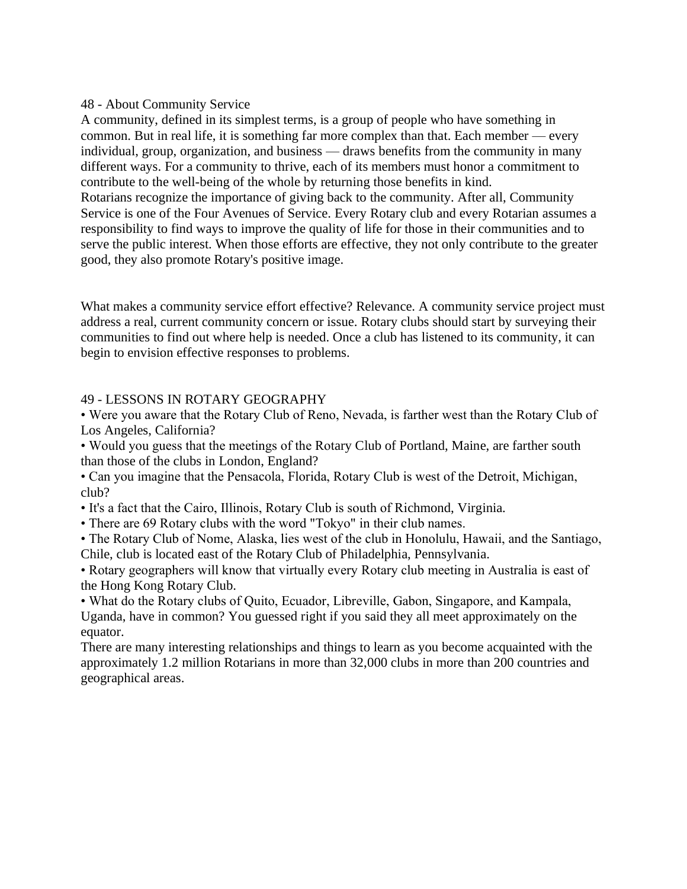## 48 - About Community Service

A community, defined in its simplest terms, is a group of people who have something in common. But in real life, it is something far more complex than that. Each member — every individual, group, organization, and business — draws benefits from the community in many different ways. For a community to thrive, each of its members must honor a commitment to contribute to the well-being of the whole by returning those benefits in kind. Rotarians recognize the importance of giving back to the community. After all, Community Service is one of the Four Avenues of Service. Every Rotary club and every Rotarian assumes a responsibility to find ways to improve the quality of life for those in their communities and to serve the public interest. When those efforts are effective, they not only contribute to the greater good, they also promote Rotary's positive image.

What makes a community service effort effective? Relevance. A community service project must address a real, current community concern or issue. Rotary clubs should start by surveying their communities to find out where help is needed. Once a club has listened to its community, it can begin to envision effective responses to problems.

## 49 - LESSONS IN ROTARY GEOGRAPHY

• Were you aware that the Rotary Club of Reno, Nevada, is farther west than the Rotary Club of Los Angeles, California?

• Would you guess that the meetings of the Rotary Club of Portland, Maine, are farther south than those of the clubs in London, England?

• Can you imagine that the Pensacola, Florida, Rotary Club is west of the Detroit, Michigan, club?

- It's a fact that the Cairo, Illinois, Rotary Club is south of Richmond, Virginia.
- There are 69 Rotary clubs with the word "Tokyo" in their club names.
- The Rotary Club of Nome, Alaska, lies west of the club in Honolulu, Hawaii, and the Santiago, Chile, club is located east of the Rotary Club of Philadelphia, Pennsylvania.

• Rotary geographers will know that virtually every Rotary club meeting in Australia is east of the Hong Kong Rotary Club.

• What do the Rotary clubs of Quito, Ecuador, Libreville, Gabon, Singapore, and Kampala, Uganda, have in common? You guessed right if you said they all meet approximately on the equator.

There are many interesting relationships and things to learn as you become acquainted with the approximately 1.2 million Rotarians in more than 32,000 clubs in more than 200 countries and geographical areas.